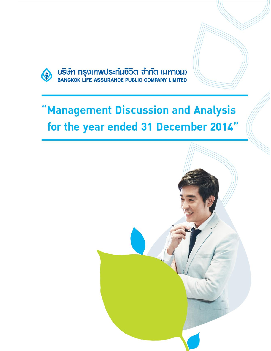

USUM nsplinings:nudo 31nd (NAJULI)

# 'Management Discussion and Analysis for the year ended 31 December 2014"

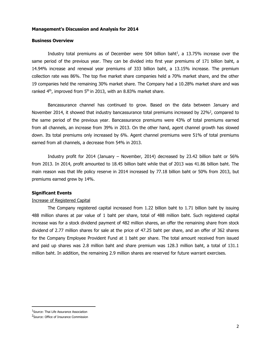#### **Business Overview**

Industry total premiums as of December were 504 billion baht<sup>1</sup>, a 13.75% increase over the same period of the previous year. They can be divided into first year premiums of 171 billion baht, a 14.94% increase and renewal year premiums of 333 billion baht, a 13.15% increase. The premium collection rate was 86%. The top five market share companies held a 70% market share, and the other 19 companies held the remaining 30% market share. The Company had a 10.28% market share and was ranked  $4<sup>th</sup>$ , improved from  $5<sup>th</sup>$  in 2013, with an 8.83% market share.

Bancassurance channel has continued to grow. Based on the data between January and November 2014, it showed that industry bancassurance total premiums increased by 22%<sup>2</sup>, compared to the same period of the previous year. Bancassurance premiums were 43% of total premiums earned from all channels, an increase from 39% in 2013. On the other hand, agent channel growth has slowed down. Its total premiums only increased by 6%. Agent channel premiums were 51% of total premiums earned from all channels, a decrease from 54% in 2013.

Industry profit for 2014 (January – November, 2014) decreased by 23.42 billion baht or 56% from 2013. In 2014, profit amounted to 18.45 billion baht while that of 2013 was 41.86 billion baht. The main reason was that life policy reserve in 2014 increased by 77.18 billion baht or 50% from 2013, but premiums earned grew by 14%.

## **Significant Events**

#### Increase of Registered Capital

The Company registered capital increased from 1.22 billion baht to 1.71 billion baht by issuing 488 million shares at par value of 1 baht per share, total of 488 million baht. Such registered capital increase was for a stock dividend payment of 482 million shares, an offer the remaining share from stock dividend of 2.77 million shares for sale at the price of 47.25 baht per share, and an offer of 362 shares for the Company Employee Provident Fund at 1 baht per share. The total amount received from issued and paid up shares was 2.8 million baht and share premium was 128.3 million baht, a total of 131.1 million baht. In addition, the remaining 2.9 million shares are reserved for future warrant exercises.

<sup>&</sup>lt;sup>1</sup>Source: Thai Life Assurance Association

<sup>&</sup>lt;sup>2</sup>Source: Office of Insurance Commission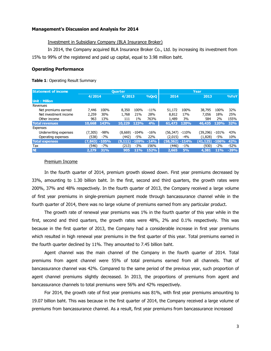## Investment in Subsidiary Company (BLA Insurance Broker)

In 2014, the Company acquired BLA Insurance Broker Co., Ltd. by increasing its investment from 15% to 99% of the registered and paid up capital, equal to 3.98 million baht.

#### **Operating Performance**

#### **Table 1**: Operating Result Summary

| <b>Statement of income</b> |          | <b>Ouarter</b> |          |            |        |           |                 | Year     |             |        |  |
|----------------------------|----------|----------------|----------|------------|--------|-----------|-----------------|----------|-------------|--------|--|
|                            | 4/2014   |                | 4/2013   |            | 9/0000 | 2014      |                 | 2013     |             | %YoY   |  |
| Unit: Million              |          |                |          |            |        |           |                 |          |             |        |  |
| Revenues                   |          |                |          |            |        |           |                 |          |             |        |  |
| Net premiums earned        | 7.446    | 100%           | 8,350    | 100%       | $-11%$ | 51,172    | 100%            | 38,795   | 100%        | 32%    |  |
| Net investment income      | 2.259    | 30%            | 1,768    | 21%        | 28%    | 8,812     | 17 <sub>%</sub> | 7.056    | 18%         | 25%    |  |
| Other income               | 963      | 13%            | 111      | $1\%$      | 763%   | 1,489     | 3%              | 584      | 2%          | 155%   |  |
| <b>Total revenues</b>      | 10,668   | 143%           | 10,229   | 123%       | 4%     | 61,473    | 120%            | 46,435   | <b>120%</b> | 32%    |  |
| Expenses                   |          |                |          |            |        |           |                 |          |             |        |  |
| Underwriting expenses      | (7, 305) | $-98%$         | (8,669)  | -104%      | $-16%$ | (56, 347) | -110%           | (39,296) | $-101%$     | 43%    |  |
| Operating expenses         | (538)    | $-7%$          | (442)    | -5%        | 22%    | (2,015)   | -4%             | (1,828)  | -5%         | 10%    |  |
| <b>Total expenses</b>      | (7,843)  | $-105%$        | (9, 111) | $-109%$    | $-14%$ | (58,362)  | $-114%$         | (41.125) | $-106%$     | 42%    |  |
| Tax                        | (546)    | $-7%$          | (213)    | $-3%$      | 156%   | (446)     | $-1\%$          | (930)    | $-2\%$      | $-52%$ |  |
| <b>NI</b>                  | 2,279    | 31%            | 905      | <b>11%</b> | 152%   | 2,665     | 5%              | 4,381    | <b>11%</b>  | $-39%$ |  |
|                            |          |                |          |            |        |           |                 |          |             |        |  |

#### Premium Income

In the fourth quarter of 2014, premium growth slowed down. First year premiums decreased by 33%, amounting to 1.30 billion baht. In the first, second and third quarters, the growth rates were 200%, 37% and 48% respectively. In the fourth quarter of 2013, the Company received a large volume of first year premiums in single-premium payment mode through bancassurance channel while in the fourth quarter of 2014, there was no large volume of premiums earned from any particular product.

The growth rate of renewal year premiums was 1% in the fourth quarter of this year while in the first, second and third quarters, the growth rates were 48%, 2% and 0.1% respectively. This was because in the first quarter of 2013, the Company had a considerable increase in first year premiums which resulted in high renewal year premiums in the first quarter of this year. Total premiums earned in the fourth quarter declined by 11%. They amounted to 7.45 billion baht.

Agent channel was the main channel of the Company in the fourth quarter of 2014. Total premiums from agent channel were 55% of total premiums earned from all channels. That of bancassurance channel was 42%. Compared to the same period of the previous year, such proportion of agent channel premiums slightly decreased. In 2013, the proportions of premiums from agent and bancassurance channels to total premiums were 56% and 42% respectively.

For 2014, the growth rate of first year premiums was 81%, with first year premiums amounting to 19.07 billion baht. This was because in the first quarter of 2014, the Company received a large volume of premiums from bancassurance channel. As a result, first year premiums from bancassurance increased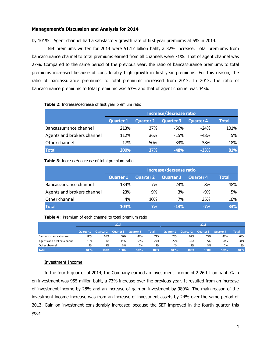by 101%. Agent channel had a satisfactory growth rate of first year premiums at 5% in 2014.

Net premiums written for 2014 were 51.17 billion baht, a 32% increase. Total premiums from bancassurance channel to total premiums earned from all channels were 71%. That of agent channel was 27%. Compared to the same period of the previous year, the ratio of bancassurance premiums to total premiums increased because of considerably high growth in first year premiums. For this reason, the ratio of bancassurance premiums to total premiums increased from 2013. In 2013, the ratio of bancassurance premiums to total premiums was 63% and that of agent channel was 34%.

| <b>Table 2:</b> Increase/decrease of first year premium ratio |                         |                  |                  |                  |       |  |  |  |  |  |
|---------------------------------------------------------------|-------------------------|------------------|------------------|------------------|-------|--|--|--|--|--|
|                                                               | Increase/decrease ratio |                  |                  |                  |       |  |  |  |  |  |
|                                                               | <b>Quarter 1</b>        | <b>Quarter 2</b> | <b>Quarter 3</b> | <b>Quarter 4</b> | Total |  |  |  |  |  |
| Bancassurrance channel                                        | 213%                    | 37%              | -56%             | $-24%$           | 101%  |  |  |  |  |  |
| Agents and brokers channel                                    | 112%                    | 36%              | $-15%$           | $-48%$           | 5%    |  |  |  |  |  |
| Other channel                                                 | $-17%$                  | 50%              | 33%              | 38%              | 18%   |  |  |  |  |  |
| <b>Total</b>                                                  | 200%                    | 37%              | $-48%$           | $-33%$           | 81%   |  |  |  |  |  |
|                                                               |                         |                  |                  |                  |       |  |  |  |  |  |

## **Table 3**: Increase/decrease of total premium ratio

|                            | Increase/decrease ratio |                  |                  |                  |              |  |  |  |  |
|----------------------------|-------------------------|------------------|------------------|------------------|--------------|--|--|--|--|
|                            | <b>Quarter 1</b>        | <b>Quarter 2</b> | <b>Quarter 3</b> | <b>Quarter 4</b> | <b>Total</b> |  |  |  |  |
| Bancassurrance channel     | 134%                    | 7%               | $-23%$           | $-8%$            | 48%          |  |  |  |  |
| Agents and brokers channel | 23%                     | 9%               | 3%               | $-9%$            | 5%           |  |  |  |  |
| Other channel              | 4%                      | 10%              | 7%               | 35%              | 10%          |  |  |  |  |
| <b>Total</b>               | 104%                    | 7%               | $-13%$           | $-7%$            | 33%          |  |  |  |  |

|                            |                  |                  | 2014      |                  |              |                  |                  | 2013             |                  |              |
|----------------------------|------------------|------------------|-----------|------------------|--------------|------------------|------------------|------------------|------------------|--------------|
|                            | <b>Quarter 1</b> | <b>Quarter 2</b> | Quarter 3 | <b>Quarter 4</b> | <b>Total</b> | <b>Quarter 1</b> | <b>Quarter 2</b> | <b>Quarter 3</b> | <b>Quarter 4</b> | <b>Total</b> |
| Bancassurrance channel     | 85%              | 66%              | 56%       | 42%              | 71%          | 74%              | 67%              | 63%              | 42%              | 63%          |
| Agents and brokers channel | 13%              | 31%              | 41%       | 55%              | 27%          | 22%              | 30%              | 35%              | 56%              | 34%          |
| Other channel              | 2%               | 3%               | 3%        | 2%               | 2%           | 4%               | 3%               | 3%               | 2%               | 3%           |
| <b>Total</b>               | 100%             | 100%             | 100%      | 100%             | 100%         | 100%             | 100%             | 100%             | 100%             | 100%         |

# Investment Income

In the fourth quarter of 2014, the Company earned an investment income of 2.26 billion baht. Gain on investment was 955 million baht, a 73% increase over the previous year. It resulted from an increase of investment income by 28% and an increase of gain on investment by 989%. The main reason of the investment income increase was from an increase of investment assets by 24% over the same period of 2013. Gain on investment considerably increased because the SET improved in the fourth quarter this year.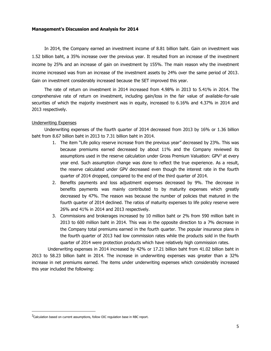In 2014, the Company earned an investment income of 8.81 billion baht. Gain on investment was 1.52 billion baht, a 35% increase over the previous year. It resulted from an increase of the investment income by 25% and an increase of gain on investment by 155%. The main reason why the investment income increased was from an increase of the investment assets by 24% over the same period of 2013. Gain on investment considerably increased because the SET improved this year.

The rate of return on investment in 2014 increased from 4.98% in 2013 to 5.41% in 2014. The comprehensive rate of return on investment, including gain/loss in the fair value of available-for-sale securities of which the majority investment was in equity, increased to 6.16% and 4.37% in 2014 and 2013 respectively.

#### Underwriting Expenses

Underwriting expenses of the fourth quarter of 2014 decreased from 2013 by 16% or 1.36 billion baht from 8.67 billion baht in 2013 to 7.31 billion baht in 2014.

- 1. The item "Life policy reserve increase from the previous year" decreased by 23%. This was because premiums earned decreased by about 11% and the Company reviewed its assumptions used in the reserve calculation under Gross Premium Valuation:  $GPV<sup>3</sup>$  at every year end. Such assumption change was done to reflect the true experience. As a result, the reserve calculated under GPV decreased even though the interest rate in the fourth quarter of 2014 dropped, compared to the end of the third quarter of 2014.
- 2. Benefits payments and loss adjustment expenses decreased by 9%. The decrease in benefits payments was mainly contributed to by maturity expenses which greatly decreased by 47%. The reason was because the number of policies that matured in the fourth quarter of 2014 declined. The ratios of maturity expenses to life policy reserve were 26% and 41% in 2014 and 2013 respectively.
- 3. Commissions and brokerages increased by 10 million baht or 2% from 590 million baht in 2013 to 600 million baht in 2014. This was in the opposite direction to a 7% decrease in the Company total premiums earned in the fourth quarter. The popular insurance plans in the fourth quarter of 2013 had low commission rates while the products sold in the fourth quarter of 2014 were protection products which have relatively high commission rates.

Underwriting expenses in 2014 increased by 42% or 17.21 billion baht from 41.02 billion baht in 2013 to 58.23 billion baht in 2014. The increase in underwriting expenses was greater than a 32% increase in net premiums earned. The items under underwriting expenses which considerably increased this year included the following:

 $^3$ Calculation based on current assumptions, follow OIC regulation base in RBC report.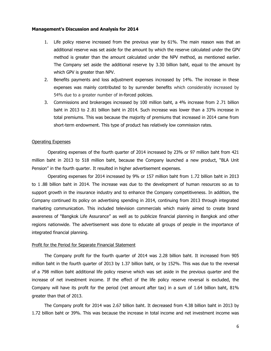- 1. Life policy reserve increased from the previous year by 61%. The main reason was that an additional reserve was set aside for the amount by which the reserve calculated under the GPV method is greater than the amount calculated under the NPV method, as mentioned earlier. The Company set aside the additional reserve by 3.30 billion baht, equal to the amount by which GPV is greater than NPV.
- 2. Benefits payments and loss adjustment expenses increased by 14%. The increase in these expenses was mainly contributed to by surrender benefits which considerably increased by 54% due to a greater number of in-forced policies.
- 3. Commissions and brokerages increased by 100 million baht, a 4% increase from 2 .71 billion baht in 2013 to 2 .81 billion baht in 2014. Such increase was lower than a 33% increase in total premiums. This was because the majority of premiums that increased in 2014 came from short-term endowment. This type of product has relatively low commission rates.

#### Operating Expenses

Operating expenses of the fourth quarter of 2014 increased by 23% or 97 million baht from 421 million baht in 2013 to 518 million baht, because the Company launched a new product, "BLA Unit Pension" in the fourth quarter. It resulted in higher advertisement expenses.

Operating expenses for 2014 increased by 9% or 157 million baht from 1.72 billion baht in 2013 to 1 .88 billion baht in 2014. The increase was due to the development of human resources so as to support growth in the insurance industry and to enhance the Company competitiveness. In addition, the Company continued its policy on advertising spending in 2014, continuing from 2013 through integrated marketing communication. This included television commercials which mainly aimed to create brand awareness of "Bangkok Life Assurance" as well as to publicize financial planning in Bangkok and other regions nationwide. The advertisement was done to educate all groups of people in the importance of integrated financial planning.

#### Profit for the Period for Separate Financial Statement

The Company profit for the fourth quarter of 2014 was 2.28 billion baht. It increased from 905 million baht in the fourth quarter of 2013 by 1.37 billion baht, or by 152%. This was due to the reversal of a 798 million baht additional life policy reserve which was set aside in the previous quarter and the increase of net investment income. If the effect of the life policy reserve reversal is excluded, the Company will have its profit for the period (net amount after tax) in a sum of 1.64 billion baht, 81% greater than that of 2013.

The Company profit for 2014 was 2.67 billion baht. It decreased from 4.38 billion baht in 2013 by 1.72 billion baht or 39%. This was because the increase in total income and net investment income was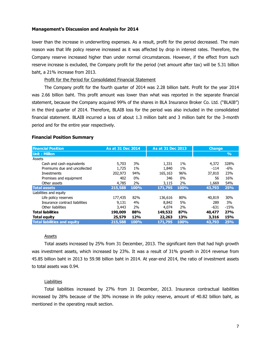lower than the increase in underwriting expenses. As a result, profit for the period decreased. The main reason was that life policy reserve increased as it was affected by drop in interest rates. Therefore, the Company reserve increased higher than under normal circumstances. However, if the effect from such reserve increase is excluded, the Company profit for the period (net amount after tax) will be 5.31 billion baht, a 21% increase from 2013.

Profit for the Period for Consolidated Financial Statement

The Company profit for the fourth quarter of 2014 was 2.28 billion baht. Profit for the year 2014 was 2.66 billion baht. This profit amount was lower than what was reported in the separate financial statement, because the Company acquired 99% of the shares in BLA Insurance Broker Co. Ltd. ("BLAIB") in the third quarter of 2014. Therefore, BLAIB loss for the period was also included in the consolidated financial statement. BLAIB incurred a loss of about 1.3 million baht and 3 million baht for the 3-month period and for the entire year respectively.

#### **Financial Position Summary**

| <b>Financial Position</b>           | As at 31 Dec 2014 |       | <b>As at 31 Dec 2013</b> |       | <b>Change</b> |               |
|-------------------------------------|-------------------|-------|--------------------------|-------|---------------|---------------|
| Unit: Million                       |                   |       |                          |       |               | $\frac{9}{6}$ |
| Assets                              |                   |       |                          |       |               |               |
| Cash and cash equivalents           | 5,703             | 3%    | 1,331                    | $1\%$ | 4,372         | 328%          |
| Premiums due and uncollected        | 1,725             | $1\%$ | 1,840                    | $1\%$ | $-114$        | $-6%$         |
| Investments                         | 202,973           | 94%   | 165,163                  | 96%   | 37,810        | 23%           |
| Premises and equipment              | 402               | $0\%$ | 346                      | $0\%$ | 56            | 16%           |
| Other assets                        | 4,785             | 2%    | 3,115                    | 2%    | 1,669         | 54%           |
| <b>Total assets</b>                 | 215,588           | 100%  | 171,795                  | 100%  | 43,793        | 25%           |
| Liabilities and equity              |                   |       |                          |       |               |               |
| Life policy reserves                | 177,435           | 82%   | 136,616                  | 80%   | 40,819        | 30%           |
| Insurance contract liabilities      | 9,131             | 4%    | 8,842                    | 5%    | 289           | 3%            |
| Other liabilities                   | 3,443             | 2%    | 4,074                    | 2%    | -631          | $-15%$        |
| <b>Total liabilities</b>            | 190,009           | 88%   | 149,532                  | 87%   | 40,477        | 27%           |
| <b>Total equity</b>                 | 25,579            | 12%   | 22,263                   | 13%   | 3,316         | 15%           |
| <b>Total liabilities and equity</b> | 215,588           | 100%  | 171,795                  | 100%  | 43,793        | 25%           |

# Assets

Total assets increased by 25% from 31 December, 2013. The significant item that had high growth was investment assets, which increased by 23%. It was a result of 31% growth in 2014 revenue from 45.85 billion baht in 2013 to 59.98 billion baht in 2014. At year-end 2014, the ratio of investment assets to total assets was 0.94.

#### Liabilities

Total liabilities increased by 27% from 31 December, 2013. Insurance contractual liabilities increased by 28% because of the 30% increase in life policy reserve, amount of 40.82 billion baht, as mentioned in the operating result section.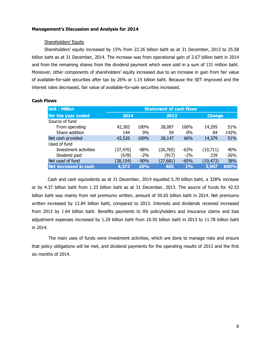## Shareholders' Equity

Shareholders' equity increased by 15% from 22.26 billion baht as at 31 December, 2013 to 25.58 billion baht as at 31 December, 2014. The increase was from operational gain of 2.67 billion baht in 2014 and from the remaining shares from the dividend payment which were sold in a sum of 131 million baht. Moreover, other components of shareholders' equity increased due to an increase in gain from fair value of available-for-sale securities after tax by 26% or 1.15 billion baht. Because the SET improved and the interest rates decreased, fair value of available-for-sale securities increased.

| <b>Unit: Million</b>  | <b>Statement of cash flows</b> |            |           |        |               |        |  |  |
|-----------------------|--------------------------------|------------|-----------|--------|---------------|--------|--|--|
| For the year ended    | 2014                           |            | 2013      |        | <b>Change</b> |        |  |  |
| Source of fund        |                                |            |           |        |               |        |  |  |
| From operating        | 42,382                         | 100%       | 28,087    | 100%   | 14,295        | 51%    |  |  |
| Share addition        | 144                            | 0%         | 59        | 0%     | 84            | 142%   |  |  |
| Net cash provided     | 42,526                         | 100%       | 28,147    | 66%    | 14,379        | 51%    |  |  |
| Used of fund          |                                |            |           |        |               |        |  |  |
| Investment activities | (37, 476)                      | $-88%$     | (26, 765) | $-63%$ | (10,711)      | 40%    |  |  |
| Dividend paid         | (678)                          | $-2\%$     | (917)     | $-2\%$ | 239           | $-26%$ |  |  |
| Net used of fund      | (38, 154)                      | $-90%$     | (27, 681) | $-65%$ | (10, 473)     | 38%    |  |  |
| Net increased in cash | 4,372                          | <b>10%</b> | 465       | 1%     | 3,907         | 840%   |  |  |

#### **Cash Flows**

Cash and cash equivalents as at 31 December, 2014 equalled 5.70 billion baht, a 328% increase or by 4.37 billion baht from 1.33 billion baht as at 31 December, 2013. The source of funds for 42.53 billion baht was mainly from net premiums written, amount of 50.65 billion baht in 2014. Net premiums written increased by 12.84 billion baht, compared to 2013. Interests and dividends received increased from 2013 by 1.64 billion baht. Benefits payments to life policyholders and insurance claims and loss adjustment expenses increased by 1.29 billion baht from 10.50 billion baht in 2013 to 11.78 billion baht in 2014.

 The main uses of funds were investment activities, which are done to manage risks and ensure that policy obligations will be met, and dividend payments for the operating results of 2013 and the first six months of 2014.